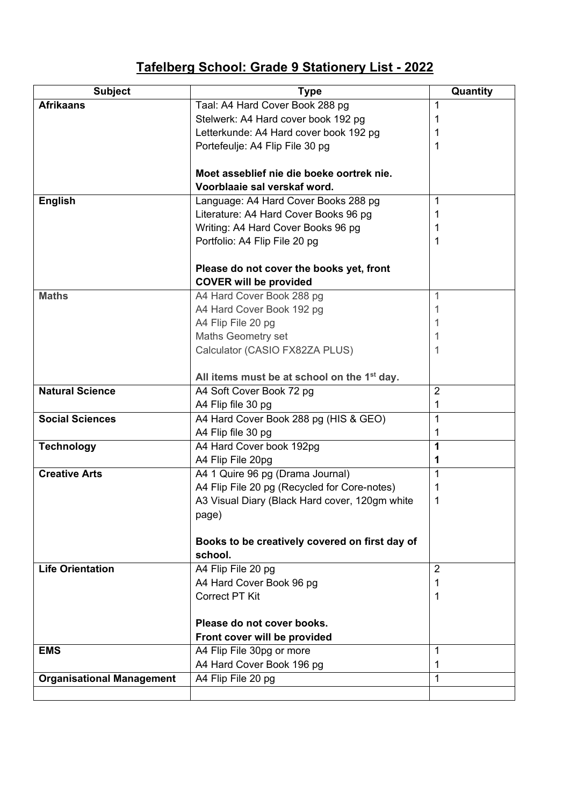## **Tafelberg School: Grade 9 Stationery List - 2022**

| <b>Subject</b>                   | <b>Type</b>                                                                         | Quantity       |
|----------------------------------|-------------------------------------------------------------------------------------|----------------|
| <b>Afrikaans</b>                 | Taal: A4 Hard Cover Book 288 pg                                                     | 1              |
|                                  | Stelwerk: A4 Hard cover book 192 pg                                                 | 1              |
|                                  | Letterkunde: A4 Hard cover book 192 pg                                              | 1              |
|                                  | Portefeulje: A4 Flip File 30 pg                                                     | 1              |
|                                  |                                                                                     |                |
|                                  | Moet asseblief nie die boeke oortrek nie.                                           |                |
|                                  | Voorblaaie sal verskaf word.                                                        |                |
| <b>English</b>                   | Language: A4 Hard Cover Books 288 pg                                                | 1              |
|                                  | Literature: A4 Hard Cover Books 96 pg                                               | 1              |
|                                  | Writing: A4 Hard Cover Books 96 pg                                                  | 1              |
|                                  | Portfolio: A4 Flip File 20 pg                                                       | 1              |
|                                  |                                                                                     |                |
|                                  | Please do not cover the books yet, front                                            |                |
|                                  | <b>COVER will be provided</b>                                                       |                |
| <b>Maths</b>                     | A4 Hard Cover Book 288 pg                                                           | 1              |
|                                  | A4 Hard Cover Book 192 pg                                                           | 1              |
|                                  | A4 Flip File 20 pg                                                                  | 1              |
|                                  | Maths Geometry set                                                                  |                |
|                                  | Calculator (CASIO FX82ZA PLUS)                                                      | 1              |
|                                  |                                                                                     |                |
| <b>Natural Science</b>           | All items must be at school on the 1 <sup>st</sup> day.<br>A4 Soft Cover Book 72 pg | $\overline{2}$ |
|                                  | A4 Flip file 30 pg                                                                  | 1              |
| <b>Social Sciences</b>           | A4 Hard Cover Book 288 pg (HIS & GEO)                                               | 1              |
|                                  | A4 Flip file 30 pg                                                                  | 1              |
| <b>Technology</b>                | A4 Hard Cover book 192pg                                                            | 1              |
|                                  | A4 Flip File 20pg                                                                   | 1              |
| <b>Creative Arts</b>             | A4 1 Quire 96 pg (Drama Journal)                                                    | 1              |
|                                  | A4 Flip File 20 pg (Recycled for Core-notes)                                        | 1              |
|                                  | A3 Visual Diary (Black Hard cover, 120gm white                                      | 1              |
|                                  | page)                                                                               |                |
|                                  |                                                                                     |                |
|                                  | Books to be creatively covered on first day of                                      |                |
|                                  | school.                                                                             |                |
| <b>Life Orientation</b>          | A4 Flip File 20 pg                                                                  | $\overline{2}$ |
|                                  | A4 Hard Cover Book 96 pg                                                            | 1              |
|                                  | <b>Correct PT Kit</b>                                                               | 1              |
|                                  |                                                                                     |                |
|                                  | Please do not cover books.                                                          |                |
|                                  | Front cover will be provided                                                        |                |
| <b>EMS</b>                       | A4 Flip File 30pg or more                                                           | 1              |
|                                  | A4 Hard Cover Book 196 pg                                                           | 1              |
| <b>Organisational Management</b> | A4 Flip File 20 pg                                                                  | 1              |
|                                  |                                                                                     |                |